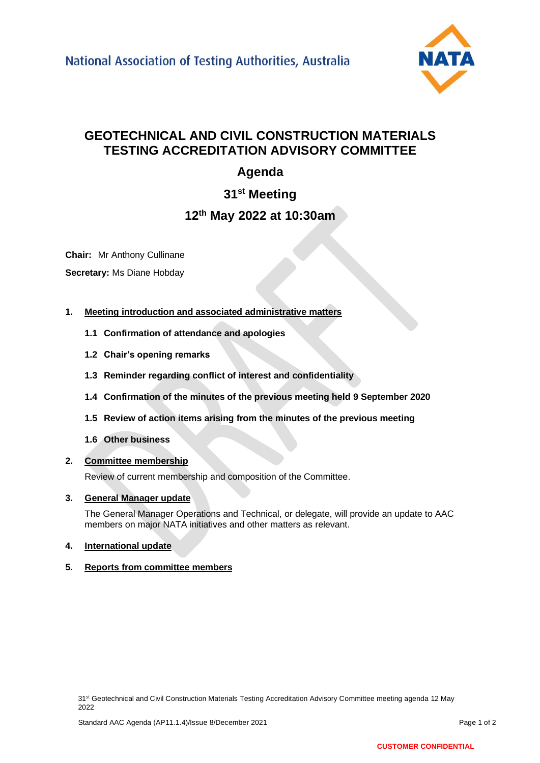

# **GEOTECHNICAL AND CIVIL CONSTRUCTION MATERIALS TESTING ACCREDITATION ADVISORY COMMITTEE**

# **Agenda**

**31st Meeting**

## **12th May 2022 at 10:30am**

**Chair:** Mr Anthony Cullinane **Secretary:** Ms Diane Hobday

- **1. Meeting introduction and associated administrative matters**
	- **1.1 Confirmation of attendance and apologies**
	- **1.2 Chair's opening remarks**
	- **1.3 Reminder regarding conflict of interest and confidentiality**
	- **1.4 Confirmation of the minutes of the previous meeting held 9 September 2020**
	- **1.5 Review of action items arising from the minutes of the previous meeting**
	- **1.6 Other business**
- **2. Committee membership**

Review of current membership and composition of the Committee.

## **3. General Manager update**

The General Manager Operations and Technical, or delegate, will provide an update to AAC members on major NATA initiatives and other matters as relevant.

**4. International update**

## **5. Reports from committee members**